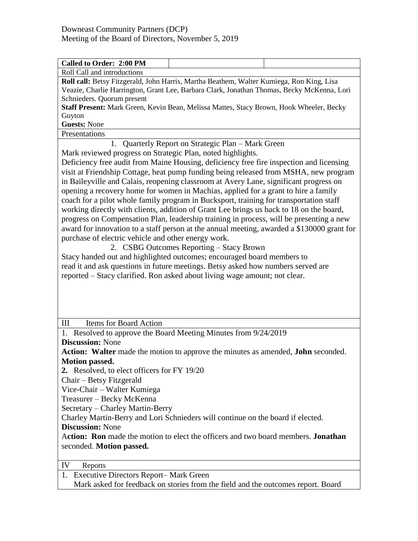| Roll Call and introductions                                                |                                                                                            |
|----------------------------------------------------------------------------|--------------------------------------------------------------------------------------------|
|                                                                            | Roll call: Betsy Fitzgerald, John Harris, Martha Beathem, Walter Kumiega, Ron King, Lisa   |
| Schnieders. Quorum present                                                 | Veazie, Charlie Harrington, Grant Lee, Barbara Clark, Jonathan Thomas, Becky McKenna, Lori |
|                                                                            | Staff Present: Mark Green, Kevin Bean, Melissa Mattes, Stacy Brown, Hook Wheeler, Becky    |
| Guyton                                                                     |                                                                                            |
| <b>Guests: None</b>                                                        |                                                                                            |
| Presentations                                                              |                                                                                            |
|                                                                            | 1. Quarterly Report on Strategic Plan - Mark Green                                         |
| Mark reviewed progress on Strategic Plan, noted highlights.                |                                                                                            |
|                                                                            | Deficiency free audit from Maine Housing, deficiency free fire inspection and licensing    |
|                                                                            | visit at Friendship Cottage, heat pump funding being released from MSHA, new program       |
|                                                                            |                                                                                            |
|                                                                            | in Baileyville and Calais, reopening classroom at Avery Lane, significant progress on      |
|                                                                            | opening a recovery home for women in Machias, applied for a grant to hire a family         |
|                                                                            | coach for a pilot whole family program in Bucksport, training for transportation staff     |
|                                                                            | working directly with clients, addition of Grant Lee brings us back to 18 on the board,    |
|                                                                            | progress on Compensation Plan, leadership training in process, will be presenting a new    |
|                                                                            | award for innovation to a staff person at the annual meeting, awarded a \$130000 grant for |
| purchase of electric vehicle and other energy work.                        |                                                                                            |
|                                                                            | 2. CSBG Outcomes Reporting - Stacy Brown                                                   |
|                                                                            | Stacy handed out and highlighted outcomes; encouraged board members to                     |
|                                                                            | read it and ask questions in future meetings. Betsy asked how numbers served are           |
| reported – Stacy clarified. Ron asked about living wage amount; not clear. |                                                                                            |
|                                                                            |                                                                                            |
|                                                                            |                                                                                            |
|                                                                            |                                                                                            |
|                                                                            |                                                                                            |
|                                                                            |                                                                                            |
| <b>Items for Board Action</b><br>III                                       |                                                                                            |
|                                                                            |                                                                                            |
|                                                                            | 1. Resolved to approve the Board Meeting Minutes from 9/24/2019                            |
| <b>Discussion: None</b>                                                    |                                                                                            |
|                                                                            | Action: Walter made the motion to approve the minutes as amended, John seconded.           |
| <b>Motion passed.</b>                                                      |                                                                                            |
| 2. Resolved, to elect officers for FY 19/20                                |                                                                                            |
| Chair - Betsy Fitzgerald                                                   |                                                                                            |
| Vice-Chair - Walter Kumiega                                                |                                                                                            |
| Treasurer - Becky McKenna                                                  |                                                                                            |
| Secretary - Charley Martin-Berry                                           |                                                                                            |
|                                                                            | Charley Martin-Berry and Lori Schnieders will continue on the board if elected.            |
| <b>Discussion: None</b>                                                    |                                                                                            |
|                                                                            | Action: Ron made the motion to elect the officers and two board members. Jonathan          |
| seconded. Motion passed.                                                   |                                                                                            |
|                                                                            |                                                                                            |
| IV<br>Reports                                                              |                                                                                            |
| <b>Executive Directors Report– Mark Green</b><br>1.                        |                                                                                            |